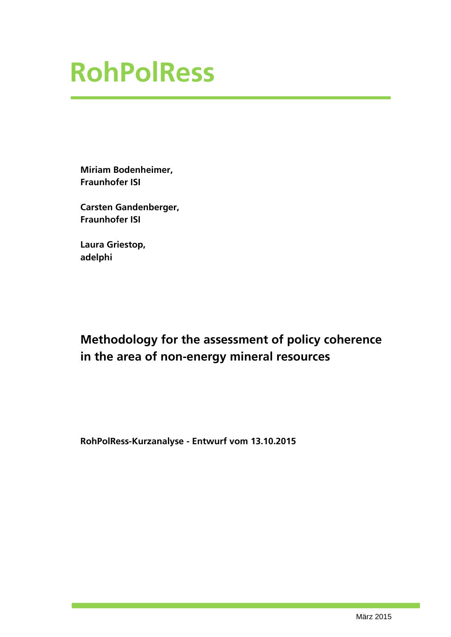**Miriam Bodenheimer, Fraunhofer ISI**

**Carsten Gandenberger, Fraunhofer ISI**

**Laura Griestop, adelphi**

### **Methodology for the assessment of policy coherence in the area of non-energy mineral resources**

**RohPolRess-Kurzanalyse - Entwurf vom 13.10.2015**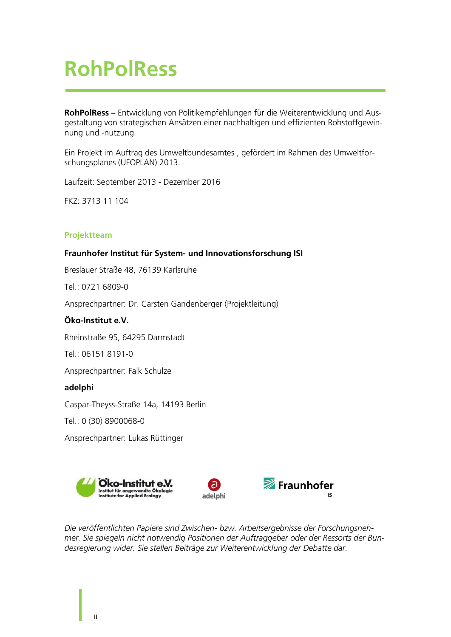**RohPolRess –** Entwicklung von Politikempfehlungen für die Weiterentwicklung und Ausgestaltung von strategischen Ansätzen einer nachhaltigen und effizienten Rohstoffgewinnung und -nutzung

Ein Projekt im Auftrag des Umweltbundesamtes , gefördert im Rahmen des Umweltforschungsplanes (UFOPLAN) 2013.

Laufzeit: September 2013 - Dezember 2016

FKZ: 3713 11 104

#### **Projektteam**

#### **Fraunhofer Institut für System- und Innovationsforschung ISI**

Breslauer Straße 48, 76139 Karlsruhe

 $Tel \cdot 0721 6809 - 0$ 

Ansprechpartner: Dr. Carsten Gandenberger (Projektleitung)

#### **Öko-Institut e.V.**

Rheinstraße 95, 64295 Darmstadt

Tel.: 06151 8191-0

Ansprechpartner: Falk Schulze

#### **adelphi**

Caspar-Theyss-Straße 14a, 14193 Berlin

Tel.: 0 (30) 8900068-0

Ansprechpartner: Lukas Rüttinger







*Die veröffentlichten Papiere sind Zwischen- bzw. Arbeitsergebnisse der Forschungsnehmer. Sie spiegeln nicht notwendig Positionen der Auftraggeber oder der Ressorts der Bundesregierung wider. Sie stellen Beiträge zur Weiterentwicklung der Debatte dar.*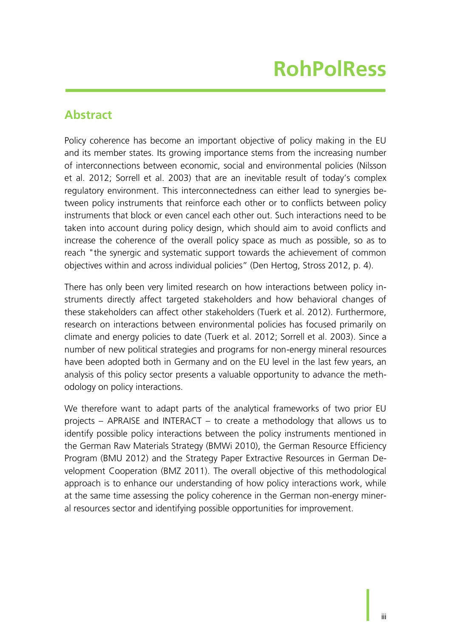### **Abstract**

Policy coherence has become an important objective of policy making in the EU and its member states. Its growing importance stems from the increasing number of interconnections between economic, social and environmental policies (Nilsson et al. 2012; Sorrell et al. 2003) that are an inevitable result of today's complex regulatory environment. This interconnectedness can either lead to synergies between policy instruments that reinforce each other or to conflicts between policy instruments that block or even cancel each other out. Such interactions need to be taken into account during policy design, which should aim to avoid conflicts and increase the coherence of the overall policy space as much as possible, so as to reach "the synergic and systematic support towards the achievement of common objectives within and across individual policies" (Den Hertog, Stross 2012, p. 4).

There has only been very limited research on how interactions between policy instruments directly affect targeted stakeholders and how behavioral changes of these stakeholders can affect other stakeholders (Tuerk et al. 2012). Furthermore, research on interactions between environmental policies has focused primarily on climate and energy policies to date (Tuerk et al. 2012; Sorrell et al. 2003). Since a number of new political strategies and programs for non-energy mineral resources have been adopted both in Germany and on the EU level in the last few years, an analysis of this policy sector presents a valuable opportunity to advance the methodology on policy interactions.

We therefore want to adapt parts of the analytical frameworks of two prior EU projects – APRAISE and INTERACT – to create a methodology that allows us to identify possible policy interactions between the policy instruments mentioned in the German Raw Materials Strategy (BMWi 2010), the German Resource Efficiency Program (BMU 2012) and the Strategy Paper Extractive Resources in German Development Cooperation (BMZ 2011). The overall objective of this methodological approach is to enhance our understanding of how policy interactions work, while at the same time assessing the policy coherence in the German non-energy mineral resources sector and identifying possible opportunities for improvement.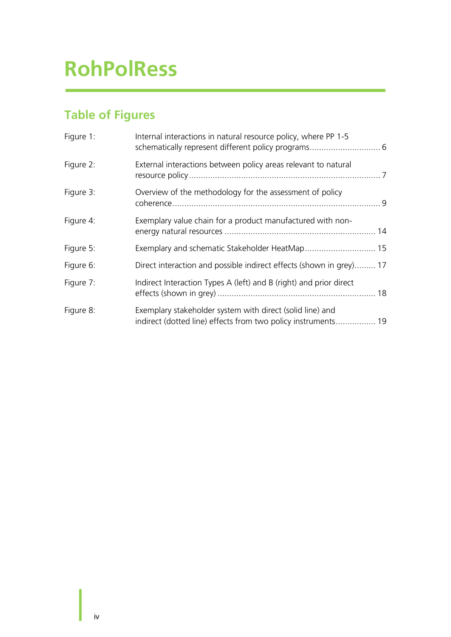### **Table of Figures**

| Figure 1: | Internal interactions in natural resource policy, where PP 1-5                                                             |  |
|-----------|----------------------------------------------------------------------------------------------------------------------------|--|
| Figure 2: | External interactions between policy areas relevant to natural                                                             |  |
| Figure 3: | Overview of the methodology for the assessment of policy                                                                   |  |
| Figure 4: | Exemplary value chain for a product manufactured with non-                                                                 |  |
| Figure 5: | Exemplary and schematic Stakeholder HeatMap 15                                                                             |  |
| Figure 6: | Direct interaction and possible indirect effects (shown in grey) 17                                                        |  |
| Figure 7: | Indirect Interaction Types A (left) and B (right) and prior direct                                                         |  |
| Figure 8: | Exemplary stakeholder system with direct (solid line) and<br>indirect (dotted line) effects from two policy instruments 19 |  |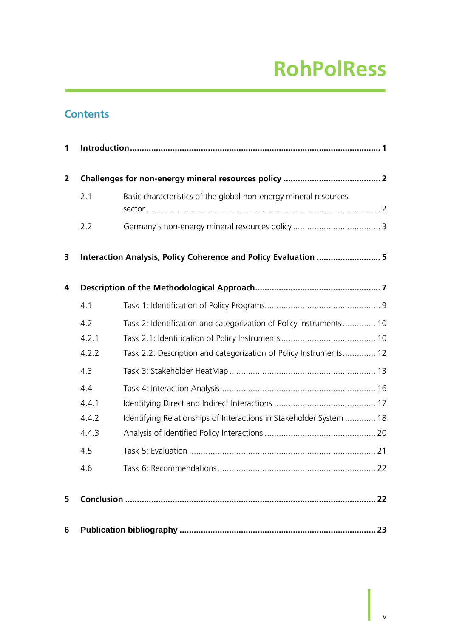### **Contents**

| 1              |       |                                                                     |  |
|----------------|-------|---------------------------------------------------------------------|--|
| $\overline{2}$ |       |                                                                     |  |
|                | 2.1   | Basic characteristics of the global non-energy mineral resources    |  |
|                | 2.2   |                                                                     |  |
| 3              |       | Interaction Analysis, Policy Coherence and Policy Evaluation  5     |  |
| 4              |       |                                                                     |  |
|                | 4.1   |                                                                     |  |
|                | 4.2   | Task 2: Identification and categorization of Policy Instruments  10 |  |
|                | 4.2.1 |                                                                     |  |
|                | 4.2.2 | Task 2.2: Description and categorization of Policy Instruments 12   |  |
|                | 4.3   |                                                                     |  |
|                | 4.4   |                                                                     |  |
|                | 4.4.1 |                                                                     |  |
|                | 4.4.2 | Identifying Relationships of Interactions in Stakeholder System  18 |  |
|                | 4.4.3 |                                                                     |  |
|                | 4.5   |                                                                     |  |
|                | 4.6   |                                                                     |  |
| 5              |       |                                                                     |  |
| 6              |       |                                                                     |  |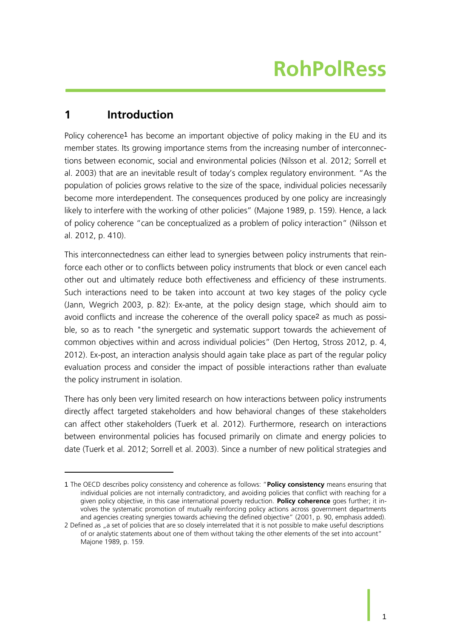#### <span id="page-6-0"></span>**1 Introduction**

1

Policy coherence1 has become an important objective of policy making in the EU and its member states. Its growing importance stems from the increasing number of interconnections between economic, social and environmental policies (Nilsson et al. 2012; Sorrell et al. 2003) that are an inevitable result of today's complex regulatory environment. "As the population of policies grows relative to the size of the space, individual policies necessarily become more interdependent. The consequences produced by one policy are increasingly likely to interfere with the working of other policies" (Majone 1989, p. 159). Hence, a lack of policy coherence "can be conceptualized as a problem of policy interaction" (Nilsson et al. 2012, p. 410).

This interconnectedness can either lead to synergies between policy instruments that reinforce each other or to conflicts between policy instruments that block or even cancel each other out and ultimately reduce both effectiveness and efficiency of these instruments. Such interactions need to be taken into account at two key stages of the policy cycle (Jann, Wegrich 2003, p. 82): Ex-ante, at the policy design stage, which should aim to avoid conflicts and increase the coherence of the overall policy space2 as much as possible, so as to reach "the synergetic and systematic support towards the achievement of common objectives within and across individual policies" (Den Hertog, Stross 2012, p. 4, 2012). Ex-post, an interaction analysis should again take place as part of the regular policy evaluation process and consider the impact of possible interactions rather than evaluate the policy instrument in isolation.

There has only been very limited research on how interactions between policy instruments directly affect targeted stakeholders and how behavioral changes of these stakeholders can affect other stakeholders (Tuerk et al. 2012). Furthermore, research on interactions between environmental policies has focused primarily on climate and energy policies to date (Tuerk et al. 2012; Sorrell et al. 2003). Since a number of new political strategies and

<sup>1</sup> The OECD describes policy consistency and coherence as follows: "**Policy consistency** means ensuring that individual policies are not internally contradictory, and avoiding policies that conflict with reaching for a given policy objective, in this case international poverty reduction. **Policy coherence** goes further; it involves the systematic promotion of mutually reinforcing policy actions across government departments and agencies creating synergies towards achieving the defined objective" (2001, p. 90, emphasis added).

<sup>2</sup> Defined as "a set of policies that are so closely interrelated that it is not possible to make useful descriptions of or analytic statements about one of them without taking the other elements of the set into account" Majone 1989, p. 159.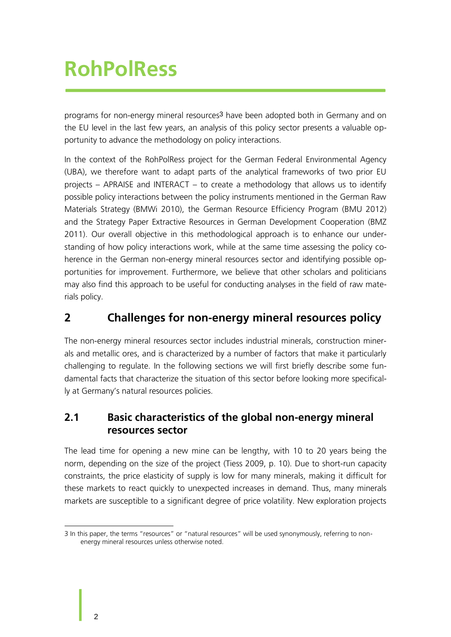programs for non-energy mineral resources3 have been adopted both in Germany and on the EU level in the last few years, an analysis of this policy sector presents a valuable opportunity to advance the methodology on policy interactions.

In the context of the RohPolRess project for the German Federal Environmental Agency (UBA), we therefore want to adapt parts of the analytical frameworks of two prior EU projects – APRAISE and INTERACT – to create a methodology that allows us to identify possible policy interactions between the policy instruments mentioned in the German Raw Materials Strategy (BMWi 2010), the German Resource Efficiency Program (BMU 2012) and the Strategy Paper Extractive Resources in German Development Cooperation (BMZ 2011). Our overall objective in this methodological approach is to enhance our understanding of how policy interactions work, while at the same time assessing the policy coherence in the German non-energy mineral resources sector and identifying possible opportunities for improvement. Furthermore, we believe that other scholars and politicians may also find this approach to be useful for conducting analyses in the field of raw materials policy.

### <span id="page-7-0"></span>**2 Challenges for non-energy mineral resources policy**

The non-energy mineral resources sector includes industrial minerals, construction minerals and metallic ores, and is characterized by a number of factors that make it particularly challenging to regulate. In the following sections we will first briefly describe some fundamental facts that characterize the situation of this sector before looking more specifically at Germany's natural resources policies.

#### <span id="page-7-1"></span>**2.1 Basic characteristics of the global non-energy mineral resources sector**

The lead time for opening a new mine can be lengthy, with 10 to 20 years being the norm, depending on the size of the project (Tiess 2009, p. 10). Due to short-run capacity constraints, the price elasticity of supply is low for many minerals, making it difficult for these markets to react quickly to unexpected increases in demand. Thus, many minerals markets are susceptible to a significant degree of price volatility. New exploration projects

<sup>-</sup>3 In this paper, the terms "resources" or "natural resources" will be used synonymously, referring to nonenergy mineral resources unless otherwise noted.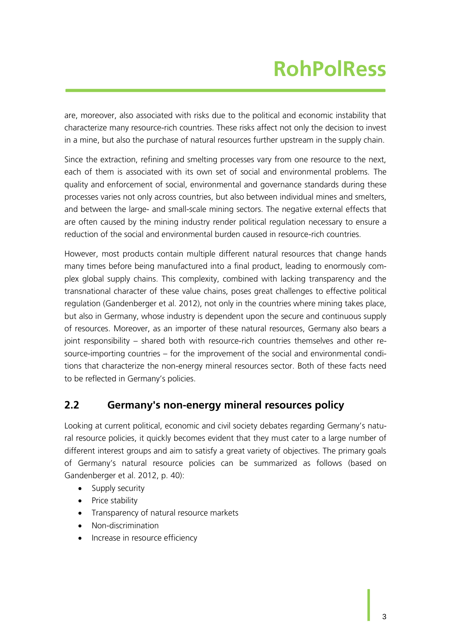are, moreover, also associated with risks due to the political and economic instability that characterize many resource-rich countries. These risks affect not only the decision to invest in a mine, but also the purchase of natural resources further upstream in the supply chain.

Since the extraction, refining and smelting processes vary from one resource to the next, each of them is associated with its own set of social and environmental problems. The quality and enforcement of social, environmental and governance standards during these processes varies not only across countries, but also between individual mines and smelters, and between the large- and small-scale mining sectors. The negative external effects that are often caused by the mining industry render political regulation necessary to ensure a reduction of the social and environmental burden caused in resource-rich countries.

However, most products contain multiple different natural resources that change hands many times before being manufactured into a final product, leading to enormously complex global supply chains. This complexity, combined with lacking transparency and the transnational character of these value chains, poses great challenges to effective political regulation (Gandenberger et al. 2012), not only in the countries where mining takes place, but also in Germany, whose industry is dependent upon the secure and continuous supply of resources. Moreover, as an importer of these natural resources, Germany also bears a joint responsibility – shared both with resource-rich countries themselves and other resource-importing countries – for the improvement of the social and environmental conditions that characterize the non-energy mineral resources sector. Both of these facts need to be reflected in Germany's policies.

#### <span id="page-8-0"></span>**2.2 Germany's non-energy mineral resources policy**

Looking at current political, economic and civil society debates regarding Germany's natural resource policies, it quickly becomes evident that they must cater to a large number of different interest groups and aim to satisfy a great variety of objectives. The primary goals of Germany's natural resource policies can be summarized as follows (based on Gandenberger et al. 2012, p. 40):

- Supply security
- Price stability
- Transparency of natural resource markets
- Non-discrimination
- Increase in resource efficiency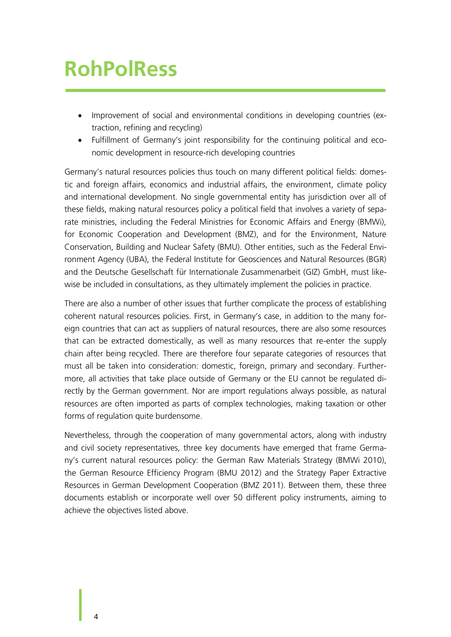- Improvement of social and environmental conditions in developing countries (extraction, refining and recycling)
- Fulfillment of Germany's joint responsibility for the continuing political and economic development in resource-rich developing countries

Germany's natural resources policies thus touch on many different political fields: domestic and foreign affairs, economics and industrial affairs, the environment, climate policy and international development. No single governmental entity has jurisdiction over all of these fields, making natural resources policy a political field that involves a variety of separate ministries, including the Federal Ministries for Economic Affairs and Energy (BMWi), for Economic Cooperation and Development (BMZ), and for the Environment, Nature Conservation, Building and Nuclear Safety (BMU). Other entities, such as the Federal Environment Agency (UBA), the Federal Institute for Geosciences and Natural Resources (BGR) and the Deutsche Gesellschaft für Internationale Zusammenarbeit (GIZ) GmbH, must likewise be included in consultations, as they ultimately implement the policies in practice.

There are also a number of other issues that further complicate the process of establishing coherent natural resources policies. First, in Germany's case, in addition to the many foreign countries that can act as suppliers of natural resources, there are also some resources that can be extracted domestically, as well as many resources that re-enter the supply chain after being recycled. There are therefore four separate categories of resources that must all be taken into consideration: domestic, foreign, primary and secondary. Furthermore, all activities that take place outside of Germany or the EU cannot be regulated directly by the German government. Nor are import regulations always possible, as natural resources are often imported as parts of complex technologies, making taxation or other forms of regulation quite burdensome.

Nevertheless, through the cooperation of many governmental actors, along with industry and civil society representatives, three key documents have emerged that frame Germany's current natural resources policy: the German Raw Materials Strategy (BMWi 2010), the German Resource Efficiency Program (BMU 2012) and the Strategy Paper Extractive Resources in German Development Cooperation (BMZ 2011). Between them, these three documents establish or incorporate well over 50 different policy instruments, aiming to achieve the objectives listed above.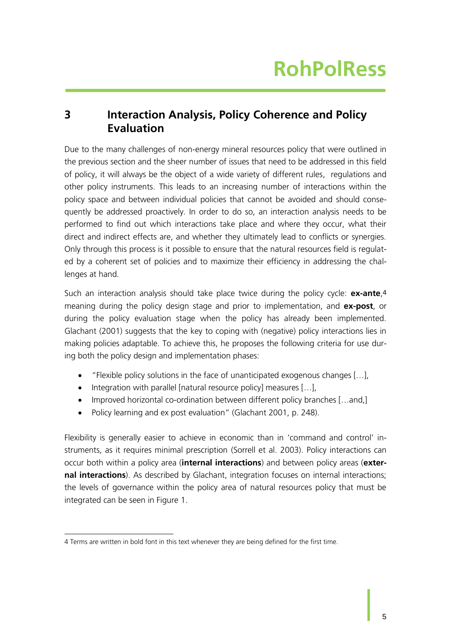#### <span id="page-10-0"></span>**3 Interaction Analysis, Policy Coherence and Policy Evaluation**

Due to the many challenges of non-energy mineral resources policy that were outlined in the previous section and the sheer number of issues that need to be addressed in this field of policy, it will always be the object of a wide variety of different rules, regulations and other policy instruments. This leads to an increasing number of interactions within the policy space and between individual policies that cannot be avoided and should consequently be addressed proactively. In order to do so, an interaction analysis needs to be performed to find out which interactions take place and where they occur, what their direct and indirect effects are, and whether they ultimately lead to conflicts or synergies. Only through this process is it possible to ensure that the natural resources field is regulated by a coherent set of policies and to maximize their efficiency in addressing the challenges at hand.

Such an interaction analysis should take place twice during the policy cycle: **ex-ante**,4 meaning during the policy design stage and prior to implementation, and **ex-post**, or during the policy evaluation stage when the policy has already been implemented. Glachant (2001) suggests that the key to coping with (negative) policy interactions lies in making policies adaptable. To achieve this, he proposes the following criteria for use during both the policy design and implementation phases:

- "Flexible policy solutions in the face of unanticipated exogenous changes […],
- $\bullet$  Integration with parallel [natural resource policy] measures [...],
- Improved horizontal co-ordination between different policy branches [...and,]
- Policy learning and ex post evaluation" (Glachant 2001, p. 248).

Flexibility is generally easier to achieve in economic than in 'command and control' instruments, as it requires minimal prescription (Sorrell et al. 2003). Policy interactions can occur both within a policy area (**internal interactions**) and between policy areas (**external interactions**). As described by Glachant, integration focuses on internal interactions; the levels of governance within the policy area of natural resources policy that must be integrated can be seen in [Figure 1.](#page-11-0)

<sup>-</sup>4 Terms are written in bold font in this text whenever they are being defined for the first time.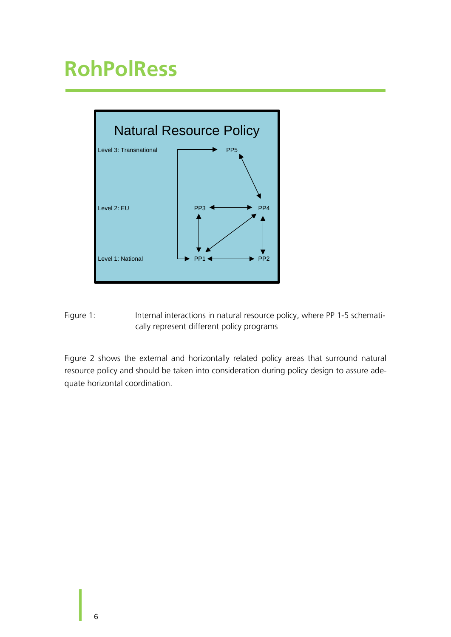

<span id="page-11-0"></span>Figure 1: Internal interactions in natural resource policy, where PP 1-5 schematically represent different policy programs

[Figure 2](#page-12-0) shows the external and horizontally related policy areas that surround natural resource policy and should be taken into consideration during policy design to assure adequate horizontal coordination.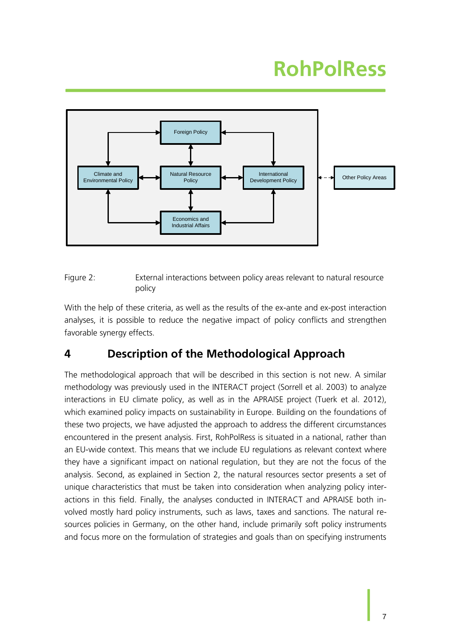

<span id="page-12-0"></span>Figure 2: External interactions between policy areas relevant to natural resource policy

With the help of these criteria, as well as the results of the ex-ante and ex-post interaction analyses, it is possible to reduce the negative impact of policy conflicts and strengthen favorable synergy effects.

#### <span id="page-12-1"></span>**4 Description of the Methodological Approach**

The methodological approach that will be described in this section is not new. A similar methodology was previously used in the INTERACT project (Sorrell et al. 2003) to analyze interactions in EU climate policy, as well as in the APRAISE project (Tuerk et al. 2012), which examined policy impacts on sustainability in Europe. Building on the foundations of these two projects, we have adjusted the approach to address the different circumstances encountered in the present analysis. First, RohPolRess is situated in a national, rather than an EU-wide context. This means that we include EU regulations as relevant context where they have a significant impact on national regulation, but they are not the focus of the analysis. Second, as explained in Section [2,](#page-7-0) the natural resources sector presents a set of unique characteristics that must be taken into consideration when analyzing policy interactions in this field. Finally, the analyses conducted in INTERACT and APRAISE both involved mostly hard policy instruments, such as laws, taxes and sanctions. The natural resources policies in Germany, on the other hand, include primarily soft policy instruments and focus more on the formulation of strategies and goals than on specifying instruments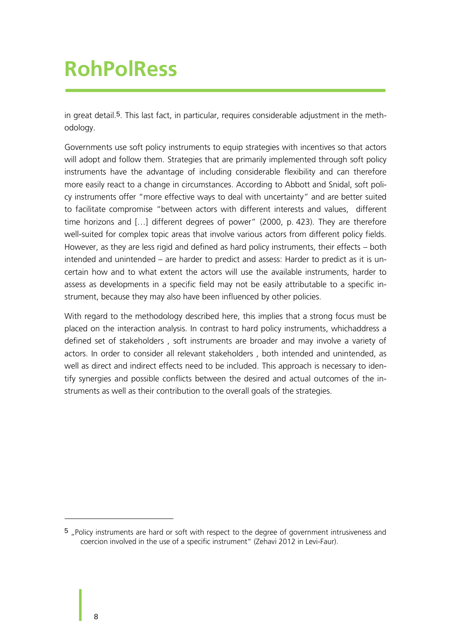in great detail.5. This last fact, in particular, requires considerable adjustment in the methodology.

Governments use soft policy instruments to equip strategies with incentives so that actors will adopt and follow them. Strategies that are primarily implemented through soft policy instruments have the advantage of including considerable flexibility and can therefore more easily react to a change in circumstances. According to Abbott and Snidal, soft policy instruments offer "more effective ways to deal with uncertainty" and are better suited to facilitate compromise "between actors with different interests and values, different time horizons and […] different degrees of power" (2000, p. 423). They are therefore well-suited for complex topic areas that involve various actors from different policy fields. However, as they are less rigid and defined as hard policy instruments, their effects – both intended and unintended – are harder to predict and assess: Harder to predict as it is uncertain how and to what extent the actors will use the available instruments, harder to assess as developments in a specific field may not be easily attributable to a specific instrument, because they may also have been influenced by other policies.

With regard to the methodology described here, this implies that a strong focus must be placed on the interaction analysis. In contrast to hard policy instruments, whichaddress a defined set of stakeholders , soft instruments are broader and may involve a variety of actors. In order to consider all relevant stakeholders , both intended and unintended, as well as direct and indirect effects need to be included. This approach is necessary to identify synergies and possible conflicts between the desired and actual outcomes of the instruments as well as their contribution to the overall goals of the strategies.

1

<sup>5 &</sup>quot;Policy instruments are hard or soft with respect to the degree of government intrusiveness and coercion involved in the use of a specific instrument" (Zehavi 2012 in Levi-Faur).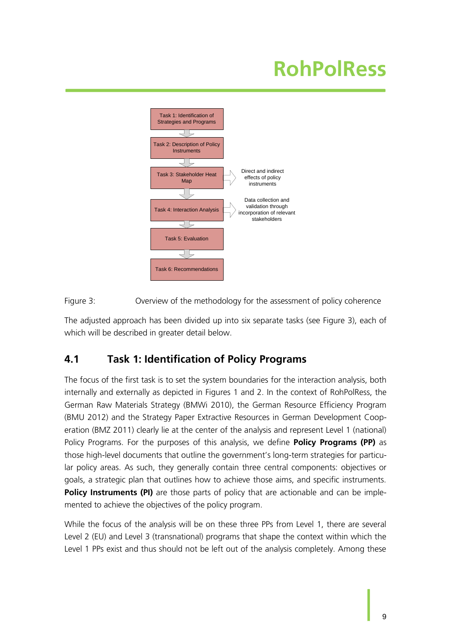

<span id="page-14-0"></span>Figure 3: Overview of the methodology for the assessment of policy coherence

The adjusted approach has been divided up into six separate tasks (see [Figure 3\)](#page-14-0), each of which will be described in greater detail below.

#### <span id="page-14-1"></span>**4.1 Task 1: Identification of Policy Programs**

The focus of the first task is to set the system boundaries for the interaction analysis, both internally and externally as depicted in Figures 1 and 2. In the context of RohPolRess, the German Raw Materials Strategy (BMWi 2010), the German Resource Efficiency Program (BMU 2012) and the Strategy Paper Extractive Resources in German Development Cooperation (BMZ 2011) clearly lie at the center of the analysis and represent Level 1 (national) Policy Programs. For the purposes of this analysis, we define **Policy Programs (PP)** as those high-level documents that outline the government's long-term strategies for particular policy areas. As such, they generally contain three central components: objectives or goals, a strategic plan that outlines how to achieve those aims, and specific instruments. **Policy Instruments (PI)** are those parts of policy that are actionable and can be implemented to achieve the objectives of the policy program.

While the focus of the analysis will be on these three PPs from Level 1, there are several Level 2 (EU) and Level 3 (transnational) programs that shape the context within which the Level 1 PPs exist and thus should not be left out of the analysis completely. Among these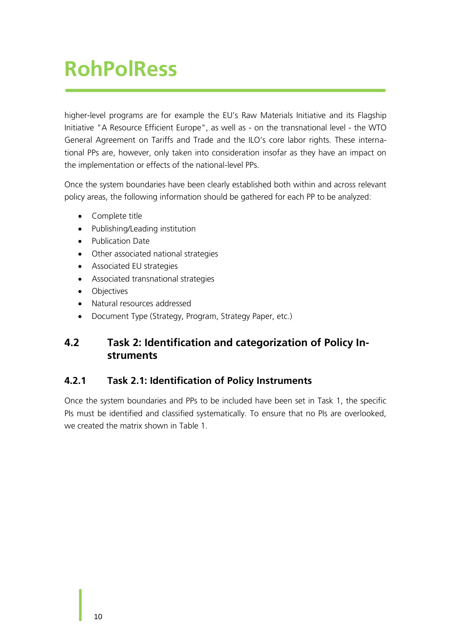higher-level programs are for example the EU's Raw Materials Initiative and its Flagship Initiative "A Resource Efficient Europe", as well as - on the transnational level - the WTO General Agreement on Tariffs and Trade and the ILO's core labor rights. These international PPs are, however, only taken into consideration insofar as they have an impact on the implementation or effects of the national-level PPs.

Once the system boundaries have been clearly established both within and across relevant policy areas, the following information should be gathered for each PP to be analyzed:

- Complete title
- Publishing/Leading institution
- Publication Date
- Other associated national strategies
- Associated EU strategies
- Associated transnational strategies
- Objectives
- Natural resources addressed
- Document Type (Strategy, Program, Strategy Paper, etc.)

#### <span id="page-15-0"></span>**4.2 Task 2: Identification and categorization of Policy Instruments**

#### <span id="page-15-1"></span>**4.2.1 Task 2.1: Identification of Policy Instruments**

Once the system boundaries and PPs to be included have been set in Task 1, the specific PIs must be identified and classified systematically. To ensure that no PIs are overlooked, we created the matrix shown in [Table 1.](#page-16-0)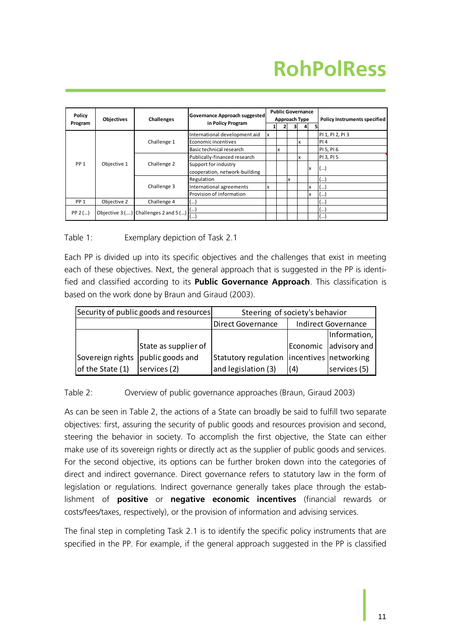| Policy<br>Program | <b>Objectives</b> | Challenges                                         | Governance Approach suggested<br>in Policy Program |   | <b>Public Governance</b><br>Approach Type |  |   |    |   | <b>Policy Instruments specified</b> |  |
|-------------------|-------------------|----------------------------------------------------|----------------------------------------------------|---|-------------------------------------------|--|---|----|---|-------------------------------------|--|
|                   |                   |                                                    |                                                    |   |                                           |  |   |    |   |                                     |  |
|                   | Objective 1       | Challenge 1                                        | International development aid                      | x |                                           |  |   |    |   | PI 1, PI 2, PI 3                    |  |
|                   |                   |                                                    | Economic incentives                                |   |                                           |  |   | x  |   | PI4                                 |  |
| PP <sub>1</sub>   |                   |                                                    | Basic technical research                           |   | X                                         |  |   |    |   | PI 5, PI 6                          |  |
|                   |                   | Challenge 2                                        | Publically-financed research                       |   |                                           |  |   | x  |   | PI 3, PI 5                          |  |
|                   |                   |                                                    | Support for industry                               |   |                                           |  |   |    |   |                                     |  |
|                   |                   |                                                    | cooperation, network-building                      |   |                                           |  |   | ΙX |   | ()                                  |  |
|                   |                   | Challenge 3                                        | Regulation                                         |   |                                           |  | x |    |   | ()                                  |  |
|                   |                   |                                                    | International agreements                           | x |                                           |  |   |    | x | $($                                 |  |
|                   |                   |                                                    | Provision of information                           |   |                                           |  |   |    | x | $\left( \ldots \right)$             |  |
| PP <sub>1</sub>   | Objective 2       | Challenge 4                                        | (…)                                                |   |                                           |  |   |    |   | ()                                  |  |
|                   |                   | Objective 3 () Challenges 2 and 5 () $\frac{1}{l}$ | (…)                                                |   |                                           |  |   |    |   | (…)                                 |  |
| $PP 2$ ()         |                   |                                                    | (…)                                                |   |                                           |  |   |    |   | ا ۱۰۰۰                              |  |

<span id="page-16-0"></span>Table 1: Exemplary depiction of Task 2.1

Each PP is divided up into its specific objectives and the challenges that exist in meeting each of these objectives. Next, the general approach that is suggested in the PP is identified and classified according to its **Public Governance Approach**. This classification is based on the work done by Braun and Giraud (2003).

|                                     | Security of public goods and resources | Steering of society's behavior               |                            |                       |  |  |
|-------------------------------------|----------------------------------------|----------------------------------------------|----------------------------|-----------------------|--|--|
|                                     |                                        | <b>Direct Governance</b>                     | <b>Indirect Governance</b> |                       |  |  |
|                                     |                                        |                                              |                            | Information,          |  |  |
|                                     | State as supplier of                   |                                              |                            | Economic advisory and |  |  |
| Sovereign rights   public goods and |                                        | Statutory regulation  incentives  networking |                            |                       |  |  |
| of the State (1)                    | services (2)                           | and legislation (3)                          | (4)                        | services (5)          |  |  |

<span id="page-16-1"></span>Table 2: Overview of public governance approaches (Braun, Giraud 2003)

As can be seen in [Table 2,](#page-16-1) the actions of a State can broadly be said to fulfill two separate objectives: first, assuring the security of public goods and resources provision and second, steering the behavior in society. To accomplish the first objective, the State can either make use of its sovereign rights or directly act as the supplier of public goods and services. For the second objective, its options can be further broken down into the categories of direct and indirect governance. Direct governance refers to statutory law in the form of legislation or regulations. Indirect governance generally takes place through the establishment of **positive** or **negative economic incentives** (financial rewards or costs/fees/taxes, respectively), or the provision of information and advising services.

The final step in completing Task 2.1 is to identify the specific policy instruments that are specified in the PP. For example, if the general approach suggested in the PP is classified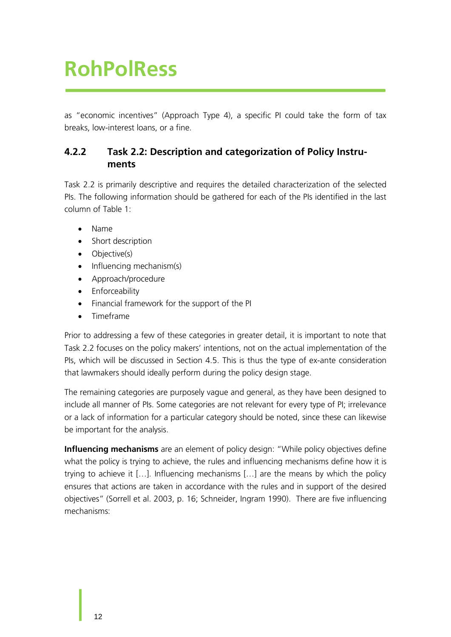as "economic incentives" (Approach Type 4), a specific PI could take the form of tax breaks, low-interest loans, or a fine.

#### <span id="page-17-0"></span>**4.2.2 Task 2.2: Description and categorization of Policy Instruments**

Task 2.2 is primarily descriptive and requires the detailed characterization of the selected PIs. The following information should be gathered for each of the PIs identified in the last column of [Table 1:](#page-16-0)

- Name
- Short description
- Objective(s)
- $\bullet$  Influencing mechanism(s)
- Approach/procedure
- Enforceability
- Financial framework for the support of the PI
- Timeframe

Prior to addressing a few of these categories in greater detail, it is important to note that Task 2.2 focuses on the policy makers' intentions, not on the actual implementation of the PIs, which will be discussed in Section [4.5.](#page-26-0) This is thus the type of ex-ante consideration that lawmakers should ideally perform during the policy design stage.

The remaining categories are purposely vague and general, as they have been designed to include all manner of PIs. Some categories are not relevant for every type of PI; irrelevance or a lack of information for a particular category should be noted, since these can likewise be important for the analysis.

**Influencing mechanisms** are an element of policy design: "While policy objectives define what the policy is trying to achieve, the rules and influencing mechanisms define how it is trying to achieve it […]. Influencing mechanisms […] are the means by which the policy ensures that actions are taken in accordance with the rules and in support of the desired objectives" (Sorrell et al. 2003, p. 16; Schneider, Ingram 1990). There are five influencing mechanisms: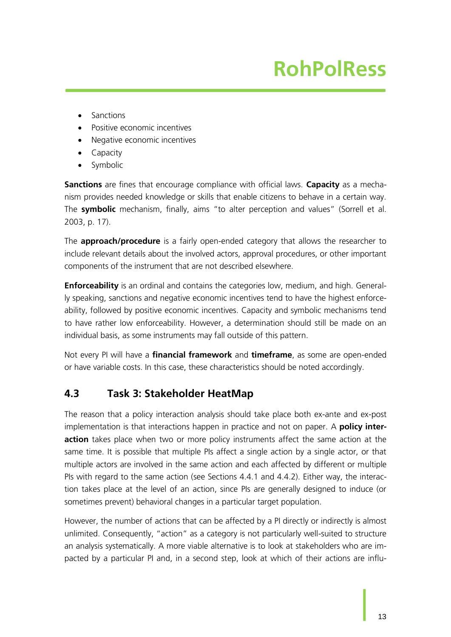- Sanctions
- Positive economic incentives
- Negative economic incentives
- Capacity
- Symbolic

**Sanctions** are fines that encourage compliance with official laws. **Capacity** as a mechanism provides needed knowledge or skills that enable citizens to behave in a certain way. The **symbolic** mechanism, finally, aims "to alter perception and values" (Sorrell et al. 2003, p. 17).

The **approach/procedure** is a fairly open-ended category that allows the researcher to include relevant details about the involved actors, approval procedures, or other important components of the instrument that are not described elsewhere.

**Enforceability** is an ordinal and contains the categories low, medium, and high. Generally speaking, sanctions and negative economic incentives tend to have the highest enforceability, followed by positive economic incentives. Capacity and symbolic mechanisms tend to have rather low enforceability. However, a determination should still be made on an individual basis, as some instruments may fall outside of this pattern.

Not every PI will have a **financial framework** and **timeframe**, as some are open-ended or have variable costs. In this case, these characteristics should be noted accordingly.

#### <span id="page-18-0"></span>**4.3 Task 3: Stakeholder HeatMap**

The reason that a policy interaction analysis should take place both ex-ante and ex-post implementation is that interactions happen in practice and not on paper. A **policy interaction** takes place when two or more policy instruments affect the same action at the same time. It is possible that multiple PIs affect a single action by a single actor, or that multiple actors are involved in the same action and each affected by different or multiple PIs with regard to the same action (see Sections [4.4.1](#page-22-1) and [4.4.2\)](#page-23-1). Either way, the interaction takes place at the level of an action, since PIs are generally designed to induce (or sometimes prevent) behavioral changes in a particular target population.

However, the number of actions that can be affected by a PI directly or indirectly is almost unlimited. Consequently, "action" as a category is not particularly well-suited to structure an analysis systematically. A more viable alternative is to look at stakeholders who are impacted by a particular PI and, in a second step, look at which of their actions are influ-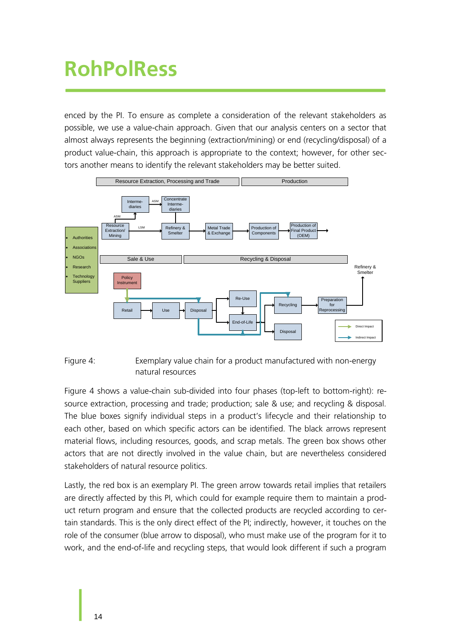enced by the PI. To ensure as complete a consideration of the relevant stakeholders as possible, we use a value-chain approach. Given that our analysis centers on a sector that almost always represents the beginning (extraction/mining) or end (recycling/disposal) of a product value-chain, this approach is appropriate to the context; however, for other sectors another means to identify the relevant stakeholders may be better suited.



<span id="page-19-0"></span>

[Figure 4](#page-19-0) shows a value-chain sub-divided into four phases (top-left to bottom-right): resource extraction, processing and trade; production; sale & use; and recycling & disposal. The blue boxes signify individual steps in a product's lifecycle and their relationship to each other, based on which specific actors can be identified. The black arrows represent material flows, including resources, goods, and scrap metals. The green box shows other actors that are not directly involved in the value chain, but are nevertheless considered stakeholders of natural resource politics.

Lastly, the red box is an exemplary PI. The green arrow towards retail implies that retailers are directly affected by this PI, which could for example require them to maintain a product return program and ensure that the collected products are recycled according to certain standards. This is the only direct effect of the PI; indirectly, however, it touches on the role of the consumer (blue arrow to disposal), who must make use of the program for it to work, and the end-of-life and recycling steps, that would look different if such a program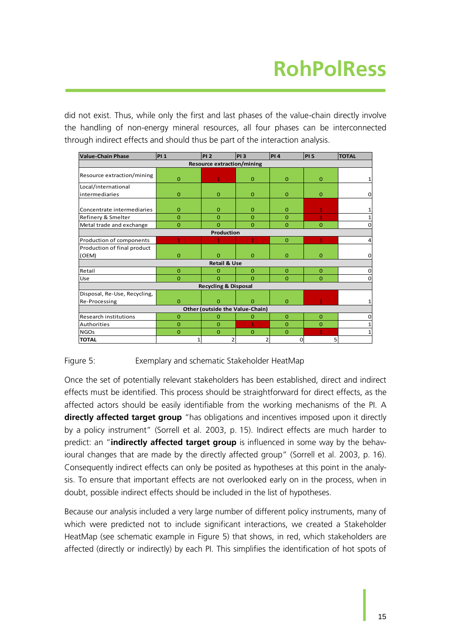did not exist. Thus, while only the first and last phases of the value-chain directly involve the handling of non-energy mineral resources, all four phases can be interconnected through indirect effects and should thus be part of the interaction analysis.

| <b>Value-Chain Phase</b>     | PI <sub>1</sub> | <b>PI2</b>                        | <b>PI3</b>     | PI4          | PI 5         | <b>TOTAL</b> |  |
|------------------------------|-----------------|-----------------------------------|----------------|--------------|--------------|--------------|--|
|                              |                 | <b>Resource extraction/mining</b> |                |              |              |              |  |
| Resource extraction/mining   | $\mathbf{0}$    | 1                                 | $\overline{0}$ | $\Omega$     | $\mathbf{0}$ | 1            |  |
| Local/international          |                 |                                   |                |              |              |              |  |
| intermediaries               | $\overline{0}$  | $\overline{0}$                    | $\Omega$       | $\Omega$     | $\mathbf{0}$ | 0            |  |
| Concentrate intermediaries   | $\Omega$        | $\mathbf{O}$                      | $\Omega$       | $\Omega$     | $\mathbf{1}$ | 1            |  |
| Refinery & Smelter           | $\Omega$        | $\Omega$                          | $\Omega$       | $\Omega$     | $\mathbf{1}$ | $\mathbf{1}$ |  |
| Metal trade and exchange     | $\overline{0}$  | $\Omega$                          | $\Omega$       | $\Omega$     | $\mathbf{O}$ | $\mathbf 0$  |  |
|                              |                 | Production                        |                |              |              |              |  |
| Production of components     | 1               |                                   | $\mathbf{1}$   | $\Omega$     | 1            | 4            |  |
| Production of final product  |                 |                                   |                |              |              |              |  |
| (OEM)                        | $\mathbf{0}$    | $\Omega$                          | $\mathbf{0}$   | $\Omega$     | $\mathbf{0}$ | $\mathbf 0$  |  |
|                              |                 | <b>Retail &amp; Use</b>           |                |              |              |              |  |
| Retail                       | $\mathbf{O}$    | $\mathbf{O}$                      | $\Omega$       | $\mathbf{0}$ | $\mathbf{0}$ | 0            |  |
| Use                          | $\Omega$        | $\Omega$                          | $\Omega$       | $\Omega$     | $\Omega$     | 0            |  |
|                              |                 | <b>Recycling &amp; Disposal</b>   |                |              |              |              |  |
| Disposal, Re-Use, Recycling, |                 |                                   |                |              |              |              |  |
| Re-Processing                | $\mathbf{O}$    | o                                 | $\Omega$       | $\Omega$     |              | $\mathbf{1}$ |  |
|                              |                 | Other (outside the Value-Chain)   |                |              |              |              |  |
| Research institutions        | $\overline{0}$  | $\mathbf{O}$                      | 0              | $\mathbf{0}$ | $\mathbf{0}$ | 0            |  |
| Authorities                  | $\overline{0}$  | $\Omega$                          | $\overline{1}$ | $\Omega$     | $\mathbf{O}$ | 1            |  |
| <b>NGOs</b>                  | $\overline{0}$  | $\overline{0}$                    | $\Omega$       | $\Omega$     | $\mathbf{1}$ | $\mathbf{1}$ |  |
| <b>TOTAL</b>                 |                 | 2                                 | 2              | 0            | 5            |              |  |

#### <span id="page-20-0"></span>Figure 5: Exemplary and schematic Stakeholder HeatMap

Once the set of potentially relevant stakeholders has been established, direct and indirect effects must be identified. This process should be straightforward for direct effects, as the affected actors should be easily identifiable from the working mechanisms of the PI. A **directly affected target group** "has obligations and incentives imposed upon it directly by a policy instrument" (Sorrell et al. 2003, p. 15). Indirect effects are much harder to predict: an "**indirectly affected target group** is influenced in some way by the behavioural changes that are made by the directly affected group" (Sorrell et al. 2003, p. 16). Consequently indirect effects can only be posited as hypotheses at this point in the analysis. To ensure that important effects are not overlooked early on in the process, when in doubt, possible indirect effects should be included in the list of hypotheses.

Because our analysis included a very large number of different policy instruments, many of which were predicted not to include significant interactions, we created a Stakeholder HeatMap (see schematic example in [Figure 5\)](#page-20-0) that shows, in red, which stakeholders are affected (directly or indirectly) by each PI. This simplifies the identification of hot spots of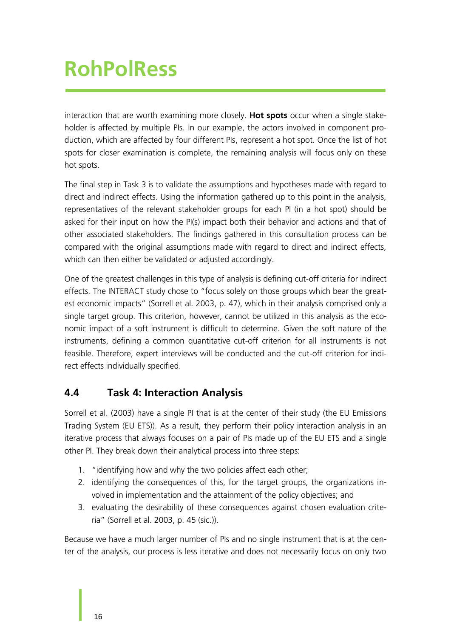interaction that are worth examining more closely. **Hot spots** occur when a single stakeholder is affected by multiple PIs. In our example, the actors involved in component production, which are affected by four different PIs, represent a hot spot. Once the list of hot spots for closer examination is complete, the remaining analysis will focus only on these hot spots.

The final step in Task 3 is to validate the assumptions and hypotheses made with regard to direct and indirect effects. Using the information gathered up to this point in the analysis, representatives of the relevant stakeholder groups for each PI (in a hot spot) should be asked for their input on how the PI(s) impact both their behavior and actions and that of other associated stakeholders. The findings gathered in this consultation process can be compared with the original assumptions made with regard to direct and indirect effects, which can then either be validated or adjusted accordingly.

One of the greatest challenges in this type of analysis is defining cut-off criteria for indirect effects. The INTERACT study chose to "focus solely on those groups which bear the greatest economic impacts" (Sorrell et al. 2003, p. 47), which in their analysis comprised only a single target group. This criterion, however, cannot be utilized in this analysis as the economic impact of a soft instrument is difficult to determine. Given the soft nature of the instruments, defining a common quantitative cut-off criterion for all instruments is not feasible. Therefore, expert interviews will be conducted and the cut-off criterion for indirect effects individually specified.

#### <span id="page-21-0"></span>**4.4 Task 4: Interaction Analysis**

Sorrell et al. (2003) have a single PI that is at the center of their study (the EU Emissions Trading System (EU ETS)). As a result, they perform their policy interaction analysis in an iterative process that always focuses on a pair of PIs made up of the EU ETS and a single other PI. They break down their analytical process into three steps:

- 1. "identifying how and why the two policies affect each other;
- 2. identifying the consequences of this, for the target groups, the organizations involved in implementation and the attainment of the policy objectives; and
- 3. evaluating the desirability of these consequences against chosen evaluation criteria" (Sorrell et al. 2003, p. 45 (sic.)).

Because we have a much larger number of PIs and no single instrument that is at the center of the analysis, our process is less iterative and does not necessarily focus on only two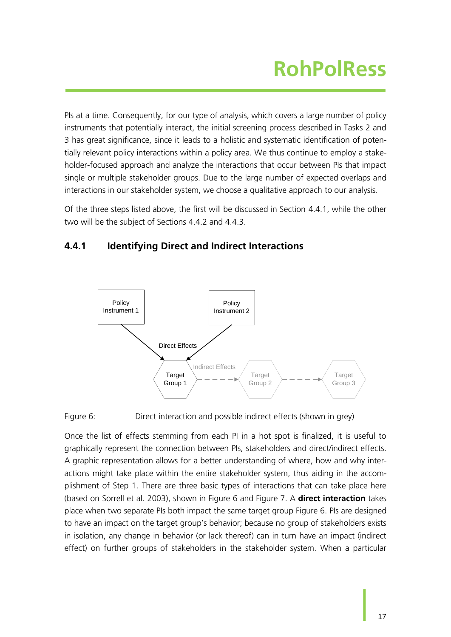PIs at a time. Consequently, for our type of analysis, which covers a large number of policy instruments that potentially interact, the initial screening process described in Tasks 2 and 3 has great significance, since it leads to a holistic and systematic identification of potentially relevant policy interactions within a policy area. We thus continue to employ a stakeholder-focused approach and analyze the interactions that occur between PIs that impact single or multiple stakeholder groups. Due to the large number of expected overlaps and interactions in our stakeholder system, we choose a qualitative approach to our analysis.

Of the three steps listed above, the first will be discussed in Section [4.4.1,](#page-22-1) while the other two will be the subject of Sections [4.4.2](#page-23-1) and [4.4.3.](#page-25-0)

#### <span id="page-22-1"></span>**4.4.1 Identifying Direct and Indirect Interactions**



<span id="page-22-0"></span>Figure 6: Direct interaction and possible indirect effects (shown in grey)

Once the list of effects stemming from each PI in a hot spot is finalized, it is useful to graphically represent the connection between PIs, stakeholders and direct/indirect effects. A graphic representation allows for a better understanding of where, how and why interactions might take place within the entire stakeholder system, thus aiding in the accomplishment of Step 1. There are three basic types of interactions that can take place here (based on Sorrell et al. 2003), shown in [Figure 6](#page-22-0) and [Figure 7.](#page-23-0) A **direct interaction** takes place when two separate PIs both impact the same target group [Figure 6.](#page-22-0) PIs are designed to have an impact on the target group's behavior; because no group of stakeholders exists in isolation, any change in behavior (or lack thereof) can in turn have an impact (indirect effect) on further groups of stakeholders in the stakeholder system. When a particular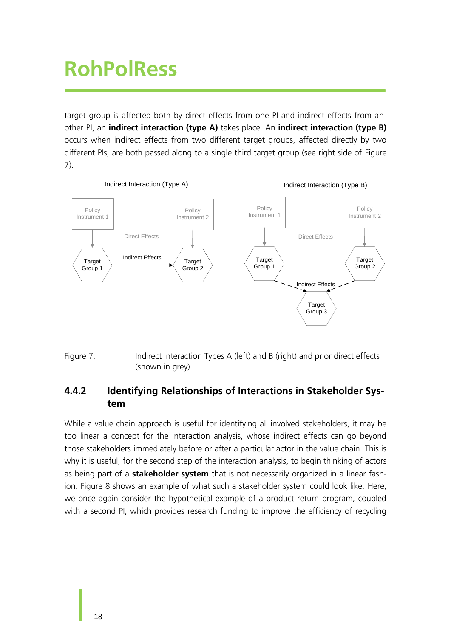target group is affected both by direct effects from one PI and indirect effects from another PI, an **indirect interaction (type A)** takes place. An **indirect interaction (type B)** occurs when indirect effects from two different target groups, affected directly by two different PIs, are both passed along to a single third target group (see right side of [Figure](#page-23-0)  [7\)](#page-23-0).



<span id="page-23-0"></span>Figure 7: Indirect Interaction Types A (left) and B (right) and prior direct effects (shown in grey)

#### <span id="page-23-1"></span>**4.4.2 Identifying Relationships of Interactions in Stakeholder System**

While a value chain approach is useful for identifying all involved stakeholders, it may be too linear a concept for the interaction analysis, whose indirect effects can go beyond those stakeholders immediately before or after a particular actor in the value chain. This is why it is useful, for the second step of the interaction analysis, to begin thinking of actors as being part of a **stakeholder system** that is not necessarily organized in a linear fashion. [Figure 8](#page-24-0) shows an example of what such a stakeholder system could look like. Here, we once again consider the hypothetical example of a product return program, coupled with a second PI, which provides research funding to improve the efficiency of recycling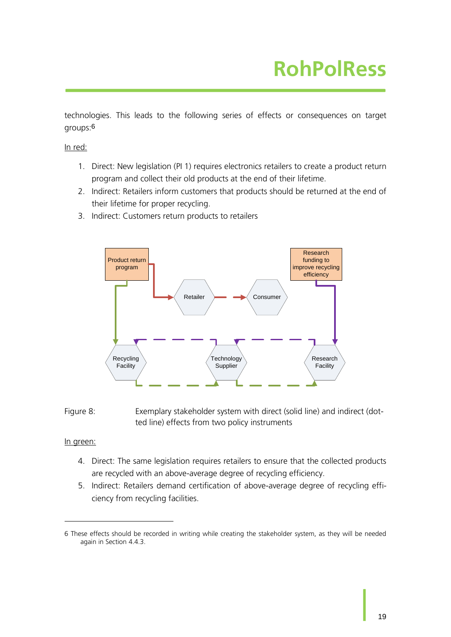technologies. This leads to the following series of effects or consequences on target groups:6

In red:

- 1. Direct: New legislation (PI 1) requires electronics retailers to create a product return program and collect their old products at the end of their lifetime.
- 2. Indirect: Retailers inform customers that products should be returned at the end of their lifetime for proper recycling.
- 3. Indirect: Customers return products to retailers



<span id="page-24-0"></span>Figure 8: Exemplary stakeholder system with direct (solid line) and indirect (dotted line) effects from two policy instruments

#### In green:

-

- 4. Direct: The same legislation requires retailers to ensure that the collected products are recycled with an above-average degree of recycling efficiency.
- 5. Indirect: Retailers demand certification of above-average degree of recycling efficiency from recycling facilities.

<sup>6</sup> These effects should be recorded in writing while creating the stakeholder system, as they will be needed again in Section [4.4.3.](#page-25-0)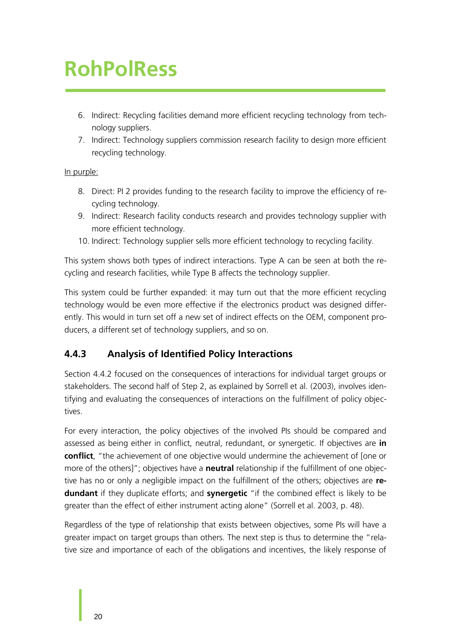- 6. Indirect: Recycling facilities demand more efficient recycling technology from technology suppliers.
- 7. Indirect: Technology suppliers commission research facility to design more efficient recycling technology.

#### In purple:

- 8. Direct: PI 2 provides funding to the research facility to improve the efficiency of recycling technology.
- 9. Indirect: Research facility conducts research and provides technology supplier with more efficient technology.
- 10. Indirect: Technology supplier sells more efficient technology to recycling facility.

This system shows both types of indirect interactions. Type A can be seen at both the recycling and research facilities, while Type B affects the technology supplier.

This system could be further expanded: it may turn out that the more efficient recycling technology would be even more effective if the electronics product was designed differently. This would in turn set off a new set of indirect effects on the OEM, component producers, a different set of technology suppliers, and so on.

#### <span id="page-25-0"></span>**4.4.3 Analysis of Identified Policy Interactions**

Section [4.4.2](#page-23-1) focused on the consequences of interactions for individual target groups or stakeholders. The second half of Step 2, as explained by Sorrell et al. (2003), involves identifying and evaluating the consequences of interactions on the fulfillment of policy objectives.

For every interaction, the policy objectives of the involved PIs should be compared and assessed as being either in conflict, neutral, redundant, or synergetic. If objectives are **in conflict**, "the achievement of one objective would undermine the achievement of [one or more of the others]"; objectives have a **neutral** relationship if the fulfillment of one objective has no or only a negligible impact on the fulfillment of the others; objectives are **redundant** if they duplicate efforts; and **synergetic** "if the combined effect is likely to be greater than the effect of either instrument acting alone" (Sorrell et al. 2003, p. 48).

Regardless of the type of relationship that exists between objectives, some PIs will have a greater impact on target groups than others. The next step is thus to determine the "relative size and importance of each of the obligations and incentives, the likely response of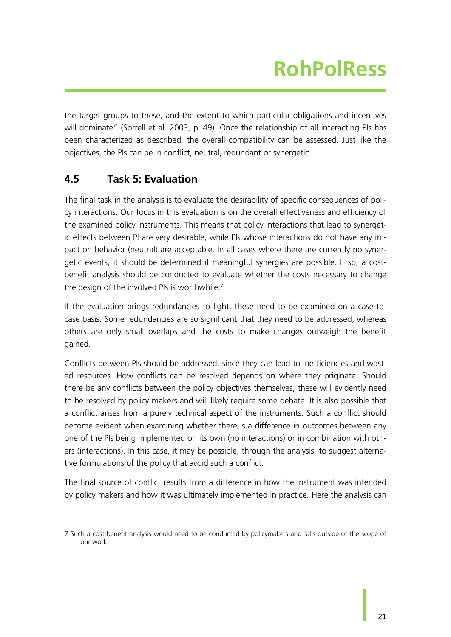the target groups to these, and the extent to which particular obligations and incentives will dominate" (Sorrell et al. 2003, p. 49). Once the relationship of all interacting PIs has been characterized as described, the overall compatibility can be assessed. Just like the objectives, the PIs can be in conflict, neutral, redundant or synergetic.

#### <span id="page-26-0"></span>**4.5 Task 5: Evaluation**

-

The final task in the analysis is to evaluate the desirability of specific consequences of policy interactions. Our focus in this evaluation is on the overall effectiveness and efficiency of the examined policy instruments. This means that policy interactions that lead to synergetic effects between PI are very desirable, while PIs whose interactions do not have any impact on behavior (neutral) are acceptable. In all cases where there are currently no synergetic events, it should be determined if meaningful synergies are possible. If so, a costbenefit analysis should be conducted to evaluate whether the costs necessary to change the design of the involved PIs is worthwhile.<sup>7</sup>

If the evaluation brings redundancies to light, these need to be examined on a case-tocase basis. Some redundancies are so significant that they need to be addressed, whereas others are only small overlaps and the costs to make changes outweigh the benefit gained.

Conflicts between PIs should be addressed, since they can lead to inefficiencies and wasted resources. How conflicts can be resolved depends on where they originate. Should there be any conflicts between the policy objectives themselves, these will evidently need to be resolved by policy makers and will likely require some debate. It is also possible that a conflict arises from a purely technical aspect of the instruments. Such a conflict should become evident when examining whether there is a difference in outcomes between any one of the PIs being implemented on its own (no interactions) or in combination with others (interactions). In this case, it may be possible, through the analysis, to suggest alternative formulations of the policy that avoid such a conflict.

The final source of conflict results from a difference in how the instrument was intended by policy makers and how it was ultimately implemented in practice. Here the analysis can

<sup>7</sup> Such a cost-benefit analysis would need to be conducted by policymakers and falls outside of the scope of our work.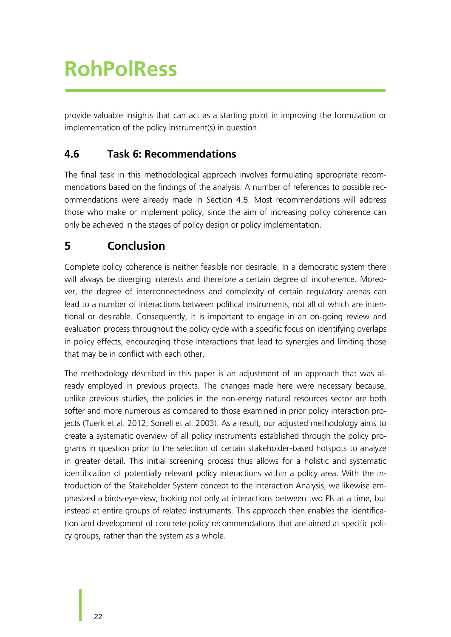provide valuable insights that can act as a starting point in improving the formulation or implementation of the policy instrument(s) in question.

#### <span id="page-27-0"></span>**4.6 Task 6: Recommendations**

The final task in this methodological approach involves formulating appropriate recommendations based on the findings of the analysis. A number of references to possible recommendations were already made in Section [4.5](#page-26-0). Most recommendations will address those who make or implement policy, since the aim of increasing policy coherence can only be achieved in the stages of policy design or policy implementation.

### <span id="page-27-1"></span>**5 Conclusion**

Complete policy coherence is neither feasible nor desirable. In a democratic system there will always be diverging interests and therefore a certain degree of incoherence. Moreover, the degree of interconnectedness and complexity of certain regulatory arenas can lead to a number of interactions between political instruments, not all of which are intentional or desirable. Consequently, it is important to engage in an on-going review and evaluation process throughout the policy cycle with a specific focus on identifying overlaps in policy effects, encouraging those interactions that lead to synergies and limiting those that may be in conflict with each other,

The methodology described in this paper is an adjustment of an approach that was already employed in previous projects. The changes made here were necessary because, unlike previous studies, the policies in the non-energy natural resources sector are both softer and more numerous as compared to those examined in prior policy interaction projects (Tuerk et al. 2012; Sorrell et al. 2003). As a result, our adjusted methodology aims to create a systematic overview of all policy instruments established through the policy programs in question prior to the selection of certain stakeholder-based hotspots to analyze in greater detail. This initial screening process thus allows for a holistic and systematic identification of potentially relevant policy interactions within a policy area. With the introduction of the Stakeholder System concept to the Interaction Analysis, we likewise emphasized a birds-eye-view, looking not only at interactions between two PIs at a time, but instead at entire groups of related instruments. This approach then enables the identification and development of concrete policy recommendations that are aimed at specific policy groups, rather than the system as a whole.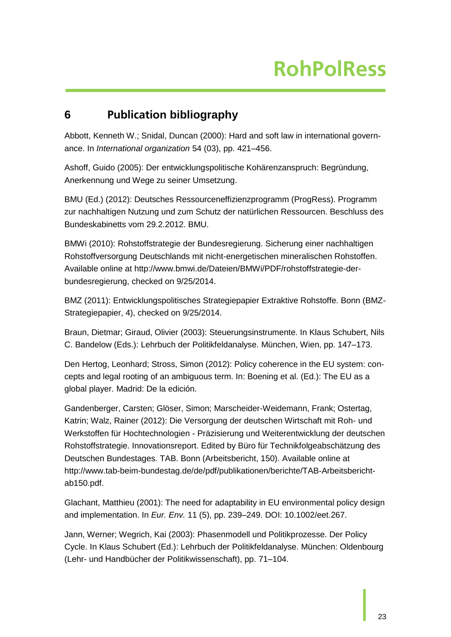#### <span id="page-28-0"></span>**6 Publication bibliography**

Abbott, Kenneth W.; Snidal, Duncan (2000): Hard and soft law in international governance. In *International organization* 54 (03), pp. 421–456.

Ashoff, Guido (2005): Der entwicklungspolitische Kohärenzanspruch: Begründung, Anerkennung und Wege zu seiner Umsetzung.

BMU (Ed.) (2012): Deutsches Ressourceneffizienzprogramm (ProgRess). Programm zur nachhaltigen Nutzung und zum Schutz der natürlichen Ressourcen. Beschluss des Bundeskabinetts vom 29.2.2012. BMU.

BMWi (2010): Rohstoffstrategie der Bundesregierung. Sicherung einer nachhaltigen Rohstoffversorgung Deutschlands mit nicht-energetischen mineralischen Rohstoffen. Available online at http://www.bmwi.de/Dateien/BMWi/PDF/rohstoffstrategie-derbundesregierung, checked on 9/25/2014.

BMZ (2011): Entwicklungspolitisches Strategiepapier Extraktive Rohstoffe. Bonn (BMZ-Strategiepapier, 4), checked on 9/25/2014.

Braun, Dietmar; Giraud, Olivier (2003): Steuerungsinstrumente. In Klaus Schubert, Nils C. Bandelow (Eds.): Lehrbuch der Politikfeldanalyse. München, Wien, pp. 147–173.

Den Hertog, Leonhard; Stross, Simon (2012): Policy coherence in the EU system: concepts and legal rooting of an ambiguous term. In: Boening et al. (Ed.): The EU as a global player. Madrid: De la edición.

Gandenberger, Carsten; Glöser, Simon; Marscheider-Weidemann, Frank; Ostertag, Katrin; Walz, Rainer (2012): Die Versorgung der deutschen Wirtschaft mit Roh- und Werkstoffen für Hochtechnologien - Präzisierung und Weiterentwicklung der deutschen Rohstoffstrategie. Innovationsreport. Edited by Büro für Technikfolgeabschätzung des Deutschen Bundestages. TAB. Bonn (Arbeitsbericht, 150). Available online at http://www.tab-beim-bundestag.de/de/pdf/publikationen/berichte/TAB-Arbeitsberichtab150.pdf.

Glachant, Matthieu (2001): The need for adaptability in EU environmental policy design and implementation. In *Eur. Env.* 11 (5), pp. 239–249. DOI: 10.1002/eet.267.

Jann, Werner; Wegrich, Kai (2003): Phasenmodell und Politikprozesse. Der Policy Cycle. In Klaus Schubert (Ed.): Lehrbuch der Politikfeldanalyse. München: Oldenbourg (Lehr- und Handbücher der Politikwissenschaft), pp. 71–104.